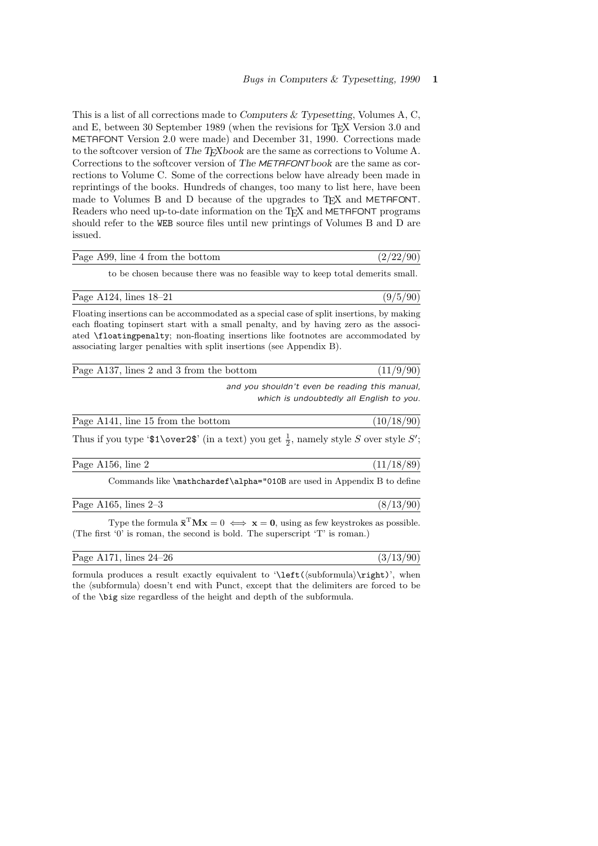This is a list of all corrections made to Computers & Typesetting, Volumes A, C, and E, between 30 September 1989 (when the revisions for T<sub>E</sub>X Version 3.0 and METAFONT Version 2.0 were made) and December 31, 1990. Corrections made to the softcover version of The T<sub>E</sub>Xbook are the same as corrections to Volume A. Corrections to the softcover version of The METAFONTbook are the same as corrections to Volume C. Some of the corrections below have already been made in reprintings of the books. Hundreds of changes, too many to list here, have been made to Volumes B and D because of the upgrades to T<sub>F</sub>X and METAFONT. Readers who need up-to-date information on the TEX and METAFONT programs should refer to the WEB source files until new printings of Volumes B and D are issued.

| Page A99, line 4 from the bottom | (2/22/90) |
|----------------------------------|-----------|
|                                  |           |

to be chosen because there was no feasible way to keep total demerits small.

Page A124, lines  $18-21$  (9/5/90)

Floating insertions can be accommodated as a special case of split insertions, by making each floating topinsert start with a small penalty, and by having zero as the associated \floatingpenalty; non-floating insertions like footnotes are accommodated by associating larger penalties with split insertions (see Appendix B).

| Page A137, lines 2 and 3 from the bottom |                                               | (11/9/90) |
|------------------------------------------|-----------------------------------------------|-----------|
|                                          | and you shouldn't even be reading this manual |           |

even be reading this manual, which is undoubtedly all English to you.

| Page A141, line 15 from the bottom | (10/18/90) |
|------------------------------------|------------|
|                                    |            |

Thus if you type ' $\text{1\over2}$ ' (in a text) you get  $\frac{1}{2}$ , namely style S over style S';

| Page A156, line 2 |  | (11/18/89) |  |  |  |
|-------------------|--|------------|--|--|--|
|-------------------|--|------------|--|--|--|

Commands like \mathchardef\alpha="010B are used in Appendix B to define

Page A165, lines  $2-3$  (8/13/90)

Type the formula  $\bar{\mathbf{x}}^T \mathbf{M} \mathbf{x} = 0 \iff \mathbf{x} = \mathbf{0}$ , using as few keystrokes as possible. (The first '0' is roman, the second is bold. The superscript 'T' is roman.)

Page A171, lines  $24-26$  (3/13/90)

formula produces a result exactly equivalent to  $\left(\frac{\sub{th}}{\right)\right)$ , when the (subformula) doesn't end with Punct, except that the delimiters are forced to be of the \big size regardless of the height and depth of the subformula.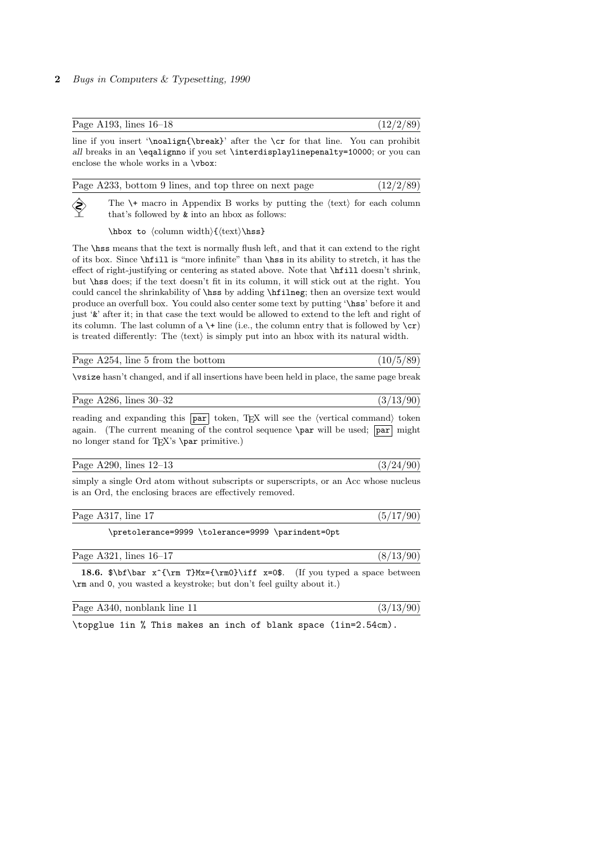## 2 Bugs in Computers & Typesetting, 1990

|                                          | Page A193, lines $16-18$                                                                                                                                                                                                       | (12/2/89) |
|------------------------------------------|--------------------------------------------------------------------------------------------------------------------------------------------------------------------------------------------------------------------------------|-----------|
|                                          | line if you insert '\noalign{\break}' after the \cr for that line. You can prohibit<br>all breaks in an <b>\eqalignno</b> if you set <b>\interdisplaylinepenalty=10000</b> ; or you can<br>enclose the whole works in a \vbox: |           |
|                                          | Page A233, bottom 9 lines, and top three on next page                                                                                                                                                                          | (12/2/89) |
| $\left\langle \diamondsuit\right\rangle$ | The $\forall$ macro in Appendix B works by putting the $\langle \text{text} \rangle$ for each column<br>that's followed by <b>&amp;</b> into an hbox as follows:                                                               |           |
|                                          | $\hbar$ ox to $\{\text{column width}\}$ $\text{text}\$                                                                                                                                                                         |           |

The \hss means that the text is normally flush left, and that it can extend to the right of its box. Since \hfill is "more infinite" than \hss in its ability to stretch, it has the effect of right-justifying or centering as stated above. Note that \hfill doesn't shrink, but \hss does; if the text doesn't fit in its column, it will stick out at the right. You could cancel the shrinkability of \hss by adding \hfilneg; then an oversize text would produce an overfull box. You could also center some text by putting '\hss' before it and just '&' after it; in that case the text would be allowed to extend to the left and right of its column. The last column of a  $\setminus\mathsf{F}$  line (i.e., the column entry that is followed by  $\setminus\mathsf{cr}$ ) is treated differently: The  $\langle \text{text} \rangle$  is simply put into an hbox with its natural width.

| (10/5/89)<br>Page A254, line 5 from the bottom |
|------------------------------------------------|
|------------------------------------------------|

\vsize hasn't changed, and if all insertions have been held in place, the same page break

## Page A286, lines 30–32 (3/13/90)

reading and expanding this  $\overline{par}$  token, TEX will see the (vertical command) token again. (The current meaning of the control sequence  $\parrow$  par will be used; par might no longer stand for T<sub>E</sub>X's \par primitive.)

| Page A290, lines $12-13$ |  |  |
|--------------------------|--|--|
|--------------------------|--|--|

simply a single Ord atom without subscripts or superscripts, or an Acc whose nucleus is an Ord, the enclosing braces are effectively removed.

| Page<br>$\overline{1}$<br>A 31<br>une.<br>$\cdots$<br>110111 | - |
|--------------------------------------------------------------|---|
|                                                              |   |

\pretolerance=9999 \tolerance=9999 \parindent=0pt

| Page A321, lines $16-17$ |  |
|--------------------------|--|
|                          |  |

18.6.  $\bf x^{\rm T}Mx=\{\rm0\}\iff x=0$ . (If you typed a space between \rm and 0, you wasted a keystroke; but don't feel guilty about it.)

Page A340, nonblank line  $11$  (3/13/90)

 $(3/24/90)$ 

\topglue 1in % This makes an inch of blank space (1in=2.54cm).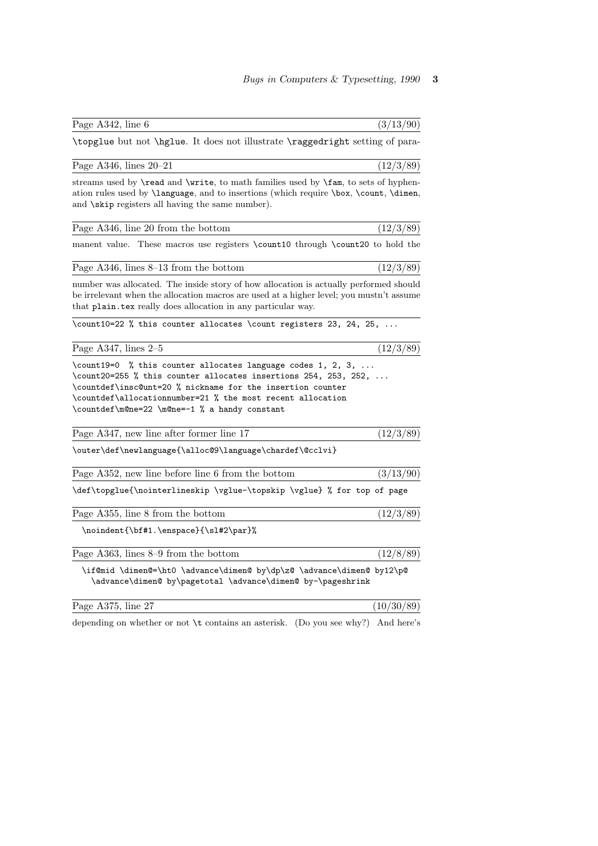| \topglue but not \hglue. It does not illustrate \raggedright setting of para-                                                                                                                                                                                                                               |            |
|-------------------------------------------------------------------------------------------------------------------------------------------------------------------------------------------------------------------------------------------------------------------------------------------------------------|------------|
| Page A346, lines $20-21$                                                                                                                                                                                                                                                                                    | (12/3/89)  |
| streams used by <b>\read</b> and <b>\write</b> , to math families used by <b>\fam</b> , to sets of hyphen-<br>ation rules used by <b>\language</b> , and to insertions (which require <b>\box, \count, \dimen</b> ,<br>and $\skip$ registers all having the same number).                                   |            |
| Page A346, line 20 from the bottom                                                                                                                                                                                                                                                                          | (12/3/89)  |
| manent value. These macros use registers \count10 through \count20 to hold the                                                                                                                                                                                                                              |            |
| Page $A346$ , lines $8-13$ from the bottom                                                                                                                                                                                                                                                                  | (12/3/89)  |
| number was allocated. The inside story of how allocation is actually performed should<br>be irrelevant when the allocation macros are used at a higher level; you mustn't assume<br>that plain tex really does allocation in any particular way.                                                            |            |
| \count10=22 % this counter allocates \count registers 23, 24, 25,                                                                                                                                                                                                                                           |            |
| Page A347, lines $2-5$                                                                                                                                                                                                                                                                                      | (12/3/89)  |
| \count19=0 % this counter allocates language codes 1, 2, 3,<br>\count20=255 % this counter allocates insertions 254, 253, 252,<br>\countdef\insc@unt=20 % nickname for the insertion counter<br>\countdef\allocationnumber=21 % the most recent allocation<br>\countdef\m@ne=22 \m@ne=-1 % a handy constant |            |
| Page A347, new line after former line 17                                                                                                                                                                                                                                                                    | (12/3/89)  |
| \outer\def\newlanguage{\alloc@9\language\chardef\@cclvi}                                                                                                                                                                                                                                                    |            |
| Page A352, new line before line 6 from the bottom                                                                                                                                                                                                                                                           | (3/13/90)  |
| \def\topglue{\nointerlineskip \vglue-\topskip \vglue} % for top of page                                                                                                                                                                                                                                     |            |
| Page A355, line 8 from the bottom                                                                                                                                                                                                                                                                           | (12/3/89)  |
| \noindent{\bf#1.\enspace}{\sl#2\par}%                                                                                                                                                                                                                                                                       |            |
| Page A363, lines 8–9 from the bottom                                                                                                                                                                                                                                                                        | (12/8/89)  |
| \if@mid \dimen@=\ht0 \advance\dimen@ by\dp\z@ \advance\dimen@ by12\p@<br>\advance\dimen@ by\pagetotal \advance\dimen@ by-\pageshrink                                                                                                                                                                        |            |
| Page A375, line 27                                                                                                                                                                                                                                                                                          | (10/30/89) |

Page A342, line 6 (3/13/90)

depending on whether or not \t contains an asterisk. (Do you see why?) And here's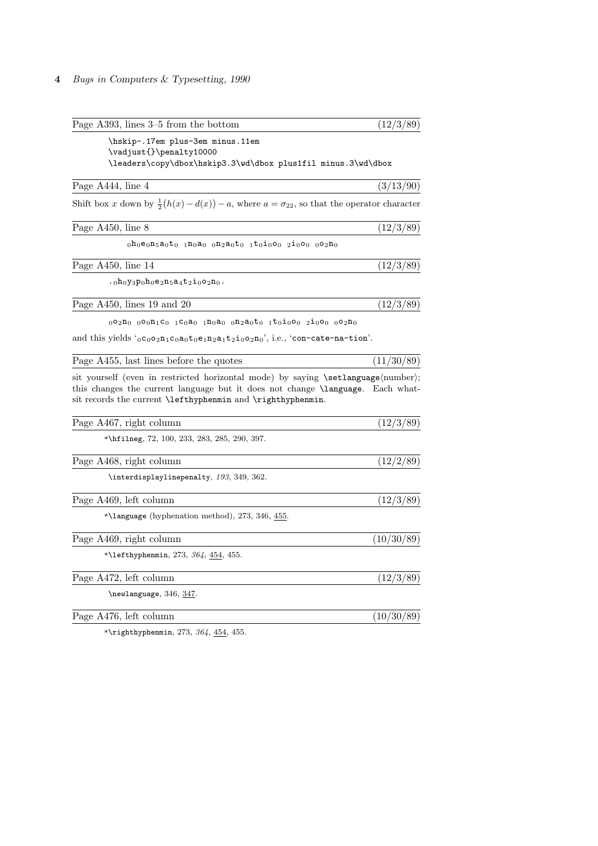## 4 Bugs in Computers & Typesetting, 1990

| Page A393, lines $3-5$ from the bottom                                                                                                                                                                                                                                                                                                                                                                                                                                                                                                                                                                                                                                                                                                             | (12/3/89)  |
|----------------------------------------------------------------------------------------------------------------------------------------------------------------------------------------------------------------------------------------------------------------------------------------------------------------------------------------------------------------------------------------------------------------------------------------------------------------------------------------------------------------------------------------------------------------------------------------------------------------------------------------------------------------------------------------------------------------------------------------------------|------------|
| \hskip-.17em plus-3em minus.11em<br>\vadjust{}\penalty10000<br>\leaders\copy\dbox\hskip3.3\wd\dbox plus1fil minus.3\wd\dbox                                                                                                                                                                                                                                                                                                                                                                                                                                                                                                                                                                                                                        |            |
| Page A444, line 4                                                                                                                                                                                                                                                                                                                                                                                                                                                                                                                                                                                                                                                                                                                                  | (3/13/90)  |
| Shift box x down by $\frac{1}{2}(h(x)-d(x)) - a$ , where $a = \sigma_{22}$ , so that the operator character                                                                                                                                                                                                                                                                                                                                                                                                                                                                                                                                                                                                                                        |            |
| Page A450, line 8                                                                                                                                                                                                                                                                                                                                                                                                                                                                                                                                                                                                                                                                                                                                  | (12/3/89)  |
| $_0$ h $_0$ e $_0$ n $_5$ a $_0$ t $_0$ $_1$ n $_0$ a $_0$ $_0$ n $_2$ a $_0$ t $_0$ $_1$ t $_0$ i $_0$ o $_0$ $_2$ i $_0$ o $_0$ $_0$ o $_2$ n $_0$                                                                                                                                                                                                                                                                                                                                                                                                                                                                                                                                                                                               |            |
| Page A450, line 14                                                                                                                                                                                                                                                                                                                                                                                                                                                                                                                                                                                                                                                                                                                                 | (12/3/89)  |
| $.0h_0y_3p_0h_0e_2n_5a_4t_2i_0o_2n_0.$                                                                                                                                                                                                                                                                                                                                                                                                                                                                                                                                                                                                                                                                                                             |            |
| Page A450, lines 19 and 20                                                                                                                                                                                                                                                                                                                                                                                                                                                                                                                                                                                                                                                                                                                         | (12/3/89)  |
| $_{0}$ 02n <sub>0</sub> $_{0}$ 00n <sub>1</sub> c <sub>0</sub> $_{1}$ c $_{0}$ a <sub>0</sub> $_{1}$ n $_{0}$ a <sub>0</sub> $_{0}$ n <sub>2</sub> a $_{0}$ t $_{0}$ $_{1}$ t $_{0}$ i $_{0}$ o <sub>0</sub> $_{2}$ i $_{0}$ o <sub>0</sub> $_{0}$ o <sub>2</sub> n <sub>0</sub>                                                                                                                                                                                                                                                                                                                                                                                                                                                                   |            |
| and this yields $^{\circ}$ <sub>0</sub> $^{\circ}$ <sub>0</sub> $^{\circ}$ <sub>2</sub> $^{\circ}$ <sub>1</sub> $^{\circ}$ <sub>0</sub> $^{\circ}$ <sub>0</sub> $^{\circ}$ <sub>1</sub> $^{\circ}$ <sub>2</sub> $^{\circ}$ <sub>1</sub> $^{\circ}$ <sub>2</sub> $^{\circ}$ <sub>10</sub> $^{\circ}$ <sub>2</sub> <sup>1</sup> <sub>0</sub> <sup><math>^{\circ}</math></sup> <sub>2</sub> <sup>1</sup> <sub>0</sub> <sup><math>^{\circ}</math></sup> <sub>2</sub> <sup>1</sup> <sub>0</sub> <sup><math>^{\circ}</math></sup> <sub>2</sub> <sup>1</sup> <sub>0</sub> <sup><math>^{\circ}</math></sup> <sub>2</sub> <sup>1</sup> <sub>0</sub> <sup><math>^{\circ}</math></sup> <sub>2</sub> <sup>1</sup> <sub>0</sub> <sup><math>^{\circ</math></sup> |            |
| Page A455, last lines before the quotes                                                                                                                                                                                                                                                                                                                                                                                                                                                                                                                                                                                                                                                                                                            | (11/30/89) |
| sit yourself (even in restricted horizontal mode) by saying \setlanguage(number);<br>this changes the current language but it does not change <b>\language</b> . Each what-<br>sit records the current \lefthyphenmin and \righthyphenmin.                                                                                                                                                                                                                                                                                                                                                                                                                                                                                                         |            |
| Page A467, right column                                                                                                                                                                                                                                                                                                                                                                                                                                                                                                                                                                                                                                                                                                                            | (12/3/89)  |
| *\hfilneg, $72$ , $100$ , $233$ , $283$ , $285$ , $290$ , $397$ .                                                                                                                                                                                                                                                                                                                                                                                                                                                                                                                                                                                                                                                                                  |            |
| Page A468, right column                                                                                                                                                                                                                                                                                                                                                                                                                                                                                                                                                                                                                                                                                                                            | (12/2/89)  |
| \interdisplaylinepenalty, 193, 349, 362.                                                                                                                                                                                                                                                                                                                                                                                                                                                                                                                                                                                                                                                                                                           |            |
| Page A469, left column                                                                                                                                                                                                                                                                                                                                                                                                                                                                                                                                                                                                                                                                                                                             | (12/3/89)  |
| *\language (hyphenation method), 273, 346, $455$ .                                                                                                                                                                                                                                                                                                                                                                                                                                                                                                                                                                                                                                                                                                 |            |
| Page A469, right column                                                                                                                                                                                                                                                                                                                                                                                                                                                                                                                                                                                                                                                                                                                            | (10/30/89) |
| *\lefthyphenmin, 273, 364, $454$ , 455.                                                                                                                                                                                                                                                                                                                                                                                                                                                                                                                                                                                                                                                                                                            |            |
| Page A472, left column                                                                                                                                                                                                                                                                                                                                                                                                                                                                                                                                                                                                                                                                                                                             | (12/3/89)  |
| $\neq$ language, 346, 347.                                                                                                                                                                                                                                                                                                                                                                                                                                                                                                                                                                                                                                                                                                                         |            |
| Page A476, left column                                                                                                                                                                                                                                                                                                                                                                                                                                                                                                                                                                                                                                                                                                                             | (10/30/89) |
| *\righthyphenmin, 273, 364, $454$ , 455.                                                                                                                                                                                                                                                                                                                                                                                                                                                                                                                                                                                                                                                                                                           |            |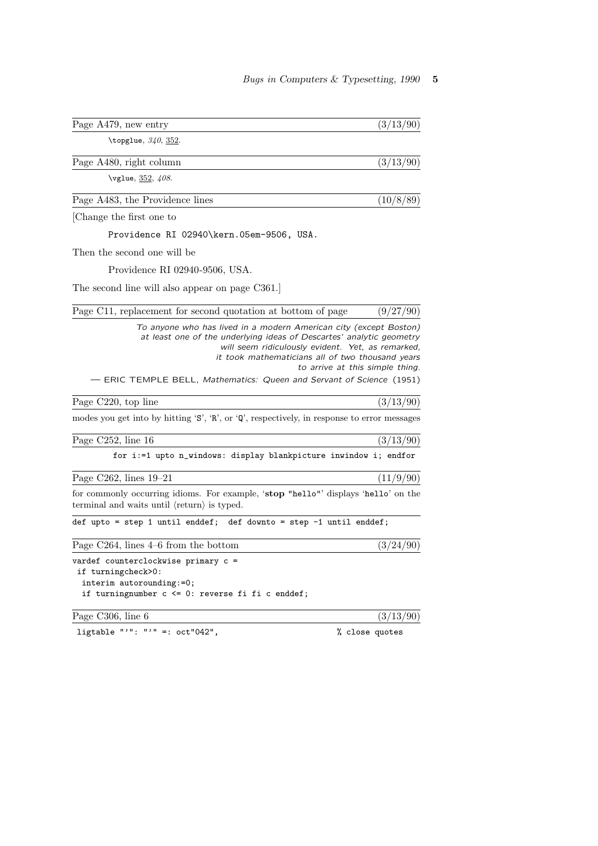| Page A479, new entry                                                                                                                                                                                                                                                                                                       | (3/13/90)                       |
|----------------------------------------------------------------------------------------------------------------------------------------------------------------------------------------------------------------------------------------------------------------------------------------------------------------------------|---------------------------------|
| \topglue, $340, 352$ .                                                                                                                                                                                                                                                                                                     |                                 |
| Page A480, right column                                                                                                                                                                                                                                                                                                    | (3/13/90)                       |
| \vglue, 352, 408.                                                                                                                                                                                                                                                                                                          |                                 |
| Page A483, the Providence lines                                                                                                                                                                                                                                                                                            | (10/8/89)                       |
| Change the first one to                                                                                                                                                                                                                                                                                                    |                                 |
| Providence RI 02940\kern.05em-9506, USA.                                                                                                                                                                                                                                                                                   |                                 |
| Then the second one will be                                                                                                                                                                                                                                                                                                |                                 |
| Providence RI 02940-9506, USA.                                                                                                                                                                                                                                                                                             |                                 |
| The second line will also appear on page C361.                                                                                                                                                                                                                                                                             |                                 |
| Page C11, replacement for second quotation at bottom of page                                                                                                                                                                                                                                                               | (9/27/90)                       |
| To anyone who has lived in a modern American city (except Boston)<br>at least one of the underlying ideas of Descartes' analytic geometry<br>will seem ridiculously evident. Yet, as remarked,<br>it took mathematicians all of two thousand years<br>- ERIC TEMPLE BELL, Mathematics: Queen and Servant of Science (1951) | to arrive at this simple thing. |
| Page C220, top line                                                                                                                                                                                                                                                                                                        | (3/13/90)                       |
| modes you get into by hitting 'S', 'R', or 'Q', respectively, in response to error messages                                                                                                                                                                                                                                |                                 |
| Page C252, line 16                                                                                                                                                                                                                                                                                                         | (3/13/90)                       |
| for i:=1 upto n_windows: display blankpicture inwindow i; endfor                                                                                                                                                                                                                                                           |                                 |
| Page C262, lines $19-21$                                                                                                                                                                                                                                                                                                   | (11/9/90)                       |
| for commonly occurring idioms. For example, 'stop "hello"' displays 'hello' on the<br>terminal and waits until $\langle$ return $\rangle$ is typed.                                                                                                                                                                        |                                 |
| def upto = step 1 until enddef; def downto = step $-1$ until enddef;                                                                                                                                                                                                                                                       |                                 |
| Page $C264$ , lines $4-6$ from the bottom                                                                                                                                                                                                                                                                                  | (3/24/90)                       |
| vardef counterclockwise primary c =<br>if turningcheck>0:<br>interim autorounding:=0;<br>if turningnumber $c \le 0$ : reverse fi fi $c$ enddef;                                                                                                                                                                            |                                 |
| Page C306, line 6                                                                                                                                                                                                                                                                                                          | (3/13/90)                       |

ligtable "'": "'" =:  $oct''042$ ",  $\frac{1}{2}$  close quotes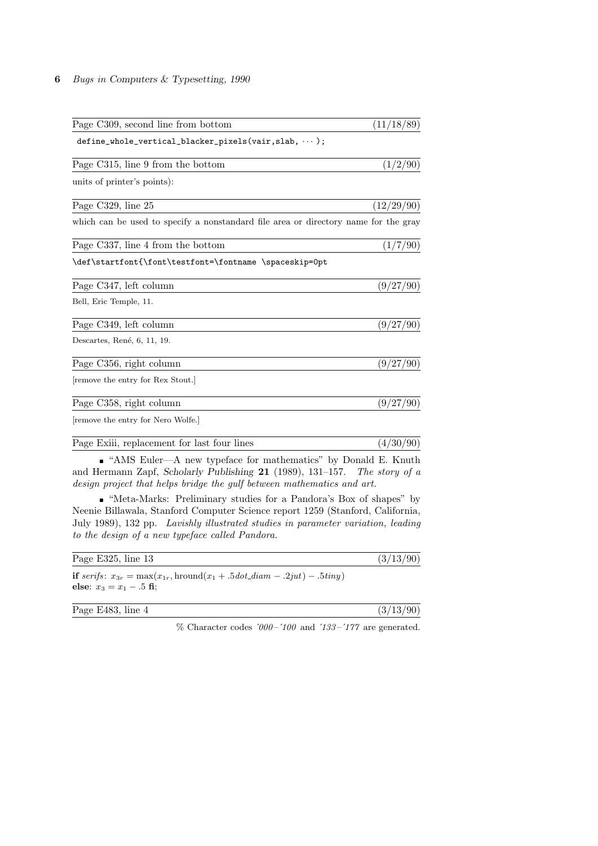## 6 Bugs in Computers & Typesetting, 1990

| Page C309, second line from bottom                                                  | (11/18/89) |
|-------------------------------------------------------------------------------------|------------|
| $define_whole_vertical_blacker_pixels(varir, slab, \cdots);$                        |            |
| Page C315, line 9 from the bottom                                                   | (1/2/90)   |
| units of printer's points):                                                         |            |
| Page C329, line 25                                                                  | (12/29/90) |
| which can be used to specify a nonstandard file area or directory name for the gray |            |
| Page C337, line 4 from the bottom                                                   | (1/7/90)   |
| \def\startfont{\font\testfont=\fontname \spaceskip=0pt                              |            |
| Page C347, left column                                                              | (9/27/90)  |
| Bell, Eric Temple, 11.                                                              |            |
| Page C349, left column                                                              | (9/27/90)  |
| Descartes, René, 6, 11, 19.                                                         |            |
| Page C356, right column                                                             | (9/27/90)  |
| remove the entry for Rex Stout.                                                     |            |
| Page C358, right column                                                             | (9/27/90)  |
| remove the entry for Nero Wolfe.                                                    |            |
| Page Exili, replacement for last four lines                                         | (4/30/90)  |

 $\bullet$  "AMS Euler—A new typeface for mathematics" by Donald E. Knuth and Hermann Zapf, Scholarly Publishing 21 (1989), 131–157. The story of a design project that helps bridge the gulf between mathematics and art.

"Meta-Marks: Preliminary studies for a Pandora's Box of shapes" by Neenie Billawala, Stanford Computer Science report 1259 (Stanford, California, July 1989), 132 pp. Lavishly illustrated studies in parameter variation, leading to the design of a new typeface called Pandora.

| Page E325, line $13$       |                                                                                              | (3/13/90) |
|----------------------------|----------------------------------------------------------------------------------------------|-----------|
| else: $x_3 = x_1 - .5$ fi: | <b>if</b> serifs: $x_{3r} = \max(x_{1r}, \text{hround}(x_1 + .5dot\_diam - .2jut) - .5tiny)$ |           |
| Page E483, line 4          |                                                                                              | (3/13/90) |
|                            | $\%$ Character codes '000-'100 and '133-'177 are generated.                                  |           |